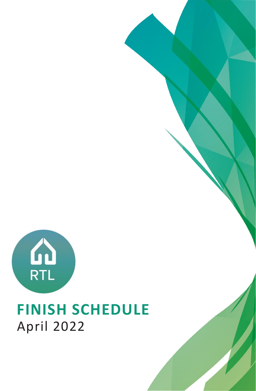

### **FINISH SCHEDULE** April 2022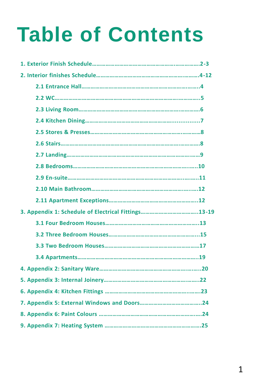# **Table of Contents**

| 3. Appendix 1: Schedule of Electrical Fittings13-19 |  |
|-----------------------------------------------------|--|
|                                                     |  |
|                                                     |  |
|                                                     |  |
|                                                     |  |
|                                                     |  |
|                                                     |  |
|                                                     |  |
|                                                     |  |
|                                                     |  |
|                                                     |  |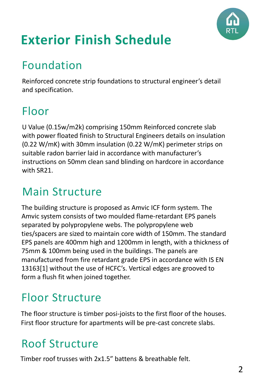

# **Exterior Finish Schedule**

### Foundation

Reinforced concrete strip foundations to structural engineer's detail and specification.

### Floor

U Value (0.15w/m2k) comprising 150mm Reinforced concrete slab with power floated finish to Structural Engineers details on insulation (0.22 W/mK) with 30mm insulation (0.22 W/mK) perimeter strips on suitable radon barrier laid in accordance with manufacturer's instructions on 50mm clean sand blinding on hardcore in accordance with SR21.

#### Main Structure

The building structure is proposed as Amvic ICF form system. The Amvic system consists of two moulded flame-retardant EPS panels separated by polypropylene webs. The polypropylene web ties/spacers are sized to maintain core width of 150mm. The standard EPS panels are 400mm high and 1200mm in length, with a thickness of 75mm & 100mm being used in the buildings. The panels are manufactured from fire retardant grade EPS in accordance with IS EN 13163[1] without the use of HCFC's. Vertical edges are grooved to form a flush fit when joined together.

#### Floor Structure

The floor structure is timber posi-joists to the first floor of the houses. First floor structure for apartments will be pre-cast concrete slabs.

### Roof Structure

Timber roof trusses with 2x1.5" battens & breathable felt.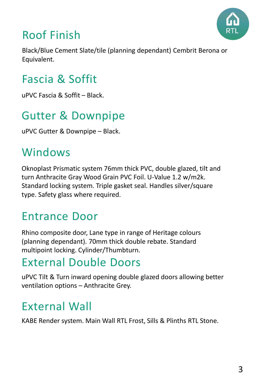

### Roof Finish

Black/Blue Cement Slate/tile (planning dependant) Cembrit Berona or Equivalent.

### Fascia & Soffit

uPVC Fascia & Soffit – Black.

#### Gutter & Downpipe

uPVC Gutter & Downpipe – Black.

#### Windows

Oknoplast Prismatic system 76mm thick PVC, double glazed, tilt and turn Anthracite Gray Wood Grain PVC Foil. U-Value 1.2 w/m2k. Standard locking system. Triple gasket seal. Handles silver/square type. Safety glass where required.

#### Entrance Door

Rhino composite door, Lane type in range of Heritage colours (planning dependant). 70mm thick double rebate. Standard multipoint locking. Cylinder/Thumbturn.

#### External Double Doors

uPVC Tilt & Turn inward opening double glazed doors allowing better ventilation options – Anthracite Grey.

#### External Wall

KABE Render system. Main Wall RTL Frost, Sills & Plinths RTL Stone.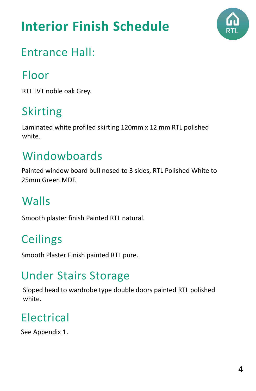## **Interior Finish Schedule**



### Entrance Hall:

#### Floor

RTL LVT noble oak Grey.

### Skirting

Laminated white profiled skirting 120mm x 12 mm RTL polished white.

#### Windowboards

Painted window board bull nosed to 3 sides, RTL Polished White to 25mm Green MDF.

### Walls

Smooth plaster finish Painted RTL natural.

### **Ceilings**

Smooth Plaster Finish painted RTL pure.

#### Under Stairs Storage

Sloped head to wardrobe type double doors painted RTL polished white.

### Electrical

See Appendix 1.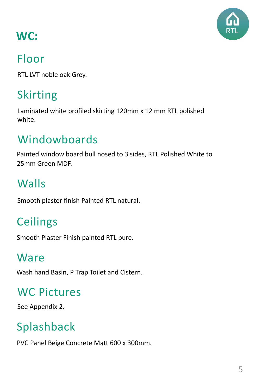

### **WC:**

#### Floor

RTL LVT noble oak Grey.

### Skirting

Laminated white profiled skirting 120mm x 12 mm RTL polished white.

### Windowboards

Painted window board bull nosed to 3 sides, RTL Polished White to 25mm Green MDF.

### **Walls**

Smooth plaster finish Painted RTL natural.

### **Ceilings**

Smooth Plaster Finish painted RTL pure.

#### Ware

Wash hand Basin, P Trap Toilet and Cistern.

### WC Pictures

See Appendix 2.

### Splashback

PVC Panel Beige Concrete Matt 600 x 300mm.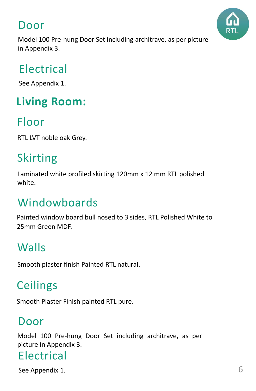#### Door



Model 100 Pre-hung Door Set including architrave, as per picture in Appendix 3.

#### Electrical

See Appendix 1.

### **Living Room:**

#### Floor

RTL LVT noble oak Grey.

### Skirting

Laminated white profiled skirting 120mm x 12 mm RTL polished white.

### Windowboards

Painted window board bull nosed to 3 sides, RTL Polished White to 25mm Green MDF.

### Walls

Smooth plaster finish Painted RTL natural.

### **Ceilings**

Smooth Plaster Finish painted RTL pure.

#### Door

Model 100 Pre-hung Door Set including architrave, as per picture in Appendix 3.

#### Electrical

See Appendix 1.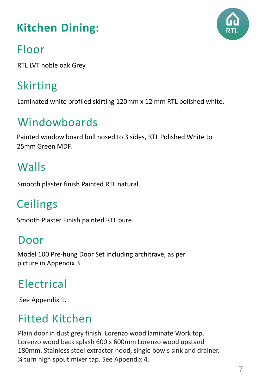### **Kitchen Dining:**



#### Floor

RTL LVT noble oak Grey.

### Skirting

Laminated white profiled skirting 120mm x 12 mm RTL polished white.

### Windowboards

Painted window board bull nosed to 3 sides, RTL Polished White to 25mm Green MDF.

### **Walls**

Smooth plaster finish Painted RTL natural.

### **Ceilings**

Smooth Plaster Finish painted RTL pure.

#### Door

Model 100 Pre-hung Door Set including architrave, as per picture in Appendix 3.

### Electrical

See Appendix 1.

### Fitted Kitchen

Plain door in dust grey finish. Lorenzo wood laminate Work top. Lorenzo wood back splash 600 x 600mm Lorenzo wood upstand 180mm. Stainless steel extractor hood, single bowls sink and drainer. ¼ turn high spout mixer tap. See Appendix 4.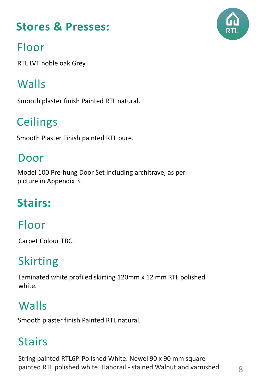### **Stores & Presses:**



### Floor

RTL LVT noble oak Grey.

### **Walls**

Smooth plaster finish Painted RTL natural.

### **Ceilings**

Smooth Plaster Finish painted RTL pure.

#### Door

Model 100 Pre-hung Door Set including architrave, as per picture in Appendix 3.

### **Stairs:**

### Floor

Carpet Colour TBC.

### Skirting

Laminated white profiled skirting 120mm x 12 mm RTL polished white.

### **Walls**

Smooth plaster finish Painted RTL natural.

### **Stairs**

String painted RTL6P. Polished White. Newel 90 x 90 mm square painted RTL polished white. Handrail - stained Walnut and varnished.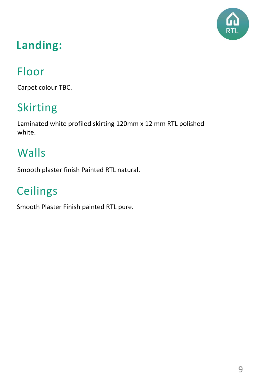

### **Landing:**

### Floor

Carpet colour TBC.

### Skirting

Laminated white profiled skirting 120mm x 12 mm RTL polished white.

#### **Walls**

Smooth plaster finish Painted RTL natural.

### **Ceilings**

Smooth Plaster Finish painted RTL pure.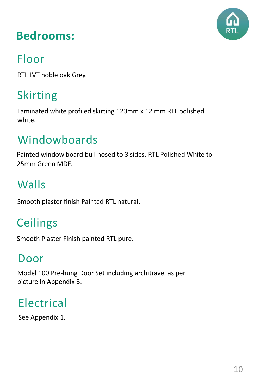

#### **Bedrooms:**

### Floor

RTL LVT noble oak Grey.

### Skirting

Laminated white profiled skirting 120mm x 12 mm RTL polished white.

### Windowboards

Painted window board bull nosed to 3 sides, RTL Polished White to 25mm Green MDF.

### Walls

Smooth plaster finish Painted RTL natural.

### **Ceilings**

Smooth Plaster Finish painted RTL pure.

#### Door

Model 100 Pre-hung Door Set including architrave, as per picture in Appendix 3.

### Electrical

See Appendix 1.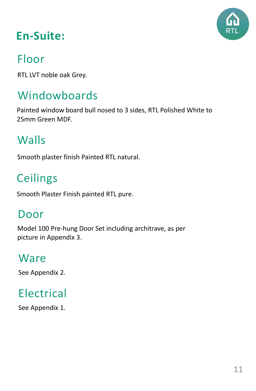

### **En-Suite:**

#### Floor

RTL LVT noble oak Grey.

#### Windowboards

Painted window board bull nosed to 3 sides, RTL Polished White to 25mm Green MDF.

### Walls

Smooth plaster finish Painted RTL natural.

### **Ceilings**

Smooth Plaster Finish painted RTL pure.

#### Door

Model 100 Pre-hung Door Set including architrave, as per picture in Appendix 3.

#### Ware

See Appendix 2.

### Electrical

See Appendix 1.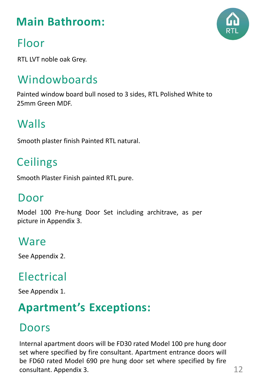### **Main Bathroom:**

### Floor

RTL LVT noble oak Grey.

### Windowboards

Painted window board bull nosed to 3 sides, RTL Polished White to 25mm Green MDF.

#### Walls

Smooth plaster finish Painted RTL natural.

### **Ceilings**

Smooth Plaster Finish painted RTL pure.

#### Door

Model 100 Pre-hung Door Set including architrave, as per picture in Appendix 3.

#### Ware

See Appendix 2.

#### Electrical

See Appendix 1.

#### **Apartment's Exceptions:**

### Doors

Internal apartment doors will be FD30 rated Model 100 pre hung door set where specified by fire consultant. Apartment entrance doors will be FD60 rated Model 690 pre hung door set where specified by fire consultant. Appendix 3.

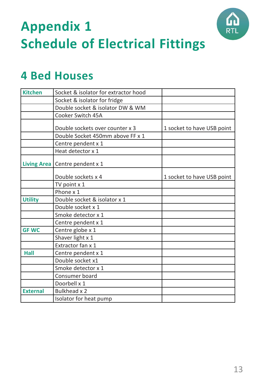



| <b>Kitchen</b>     | Socket & isolator for extractor hood |                            |
|--------------------|--------------------------------------|----------------------------|
|                    | Socket & isolator for fridge         |                            |
|                    | Double socket & isolator DW & WM     |                            |
|                    | Cooker Switch 45A                    |                            |
|                    | Double sockets over counter x 3      | 1 socket to have USB point |
|                    | Double Socket 450mm above FF x 1     |                            |
|                    | Centre pendent x 1                   |                            |
|                    | Heat detector x 1                    |                            |
| <b>Living Area</b> | Centre pendent x 1                   |                            |
|                    | Double sockets x 4                   | 1 socket to have USB point |
|                    | TV point x 1                         |                            |
|                    | Phone x 1                            |                            |
| <b>Utility</b>     | Double socket & isolator x 1         |                            |
|                    | Double socket x 1                    |                            |
|                    | Smoke detector x 1                   |                            |
|                    | Centre pendent x 1                   |                            |
| <b>GFWC</b>        | Centre globe x 1                     |                            |
|                    | Shaver light x 1                     |                            |
|                    | Extractor fan x 1                    |                            |
| <b>Hall</b>        | Centre pendent x 1                   |                            |
|                    | Double socket x1                     |                            |
|                    | Smoke detector x 1                   |                            |
|                    | Consumer board                       |                            |
|                    | Doorbell x 1                         |                            |
| <b>External</b>    | <b>Bulkhead x 2</b>                  |                            |
|                    | Isolator for heat pump               |                            |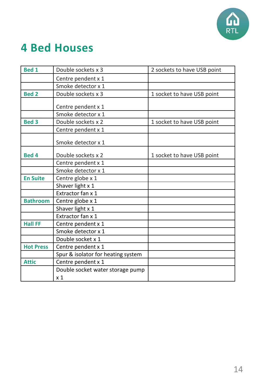

| <b>Bed 1</b>     | Double sockets x 3                 | 2 sockets to have USB point |
|------------------|------------------------------------|-----------------------------|
|                  | Centre pendent x 1                 |                             |
|                  | Smoke detector x 1                 |                             |
| <b>Bed 2</b>     | Double sockets x 3                 | 1 socket to have USB point  |
|                  |                                    |                             |
|                  | Centre pendent x 1                 |                             |
|                  | Smoke detector x 1                 |                             |
| <b>Bed 3</b>     | Double sockets x 2                 | 1 socket to have USB point  |
|                  | Centre pendent x 1                 |                             |
|                  | Smoke detector x 1                 |                             |
| <b>Bed 4</b>     | Double sockets x 2                 | 1 socket to have USB point  |
|                  | Centre pendent x 1                 |                             |
|                  | Smoke detector x 1                 |                             |
| <b>En Suite</b>  | Centre globe x 1                   |                             |
|                  | Shaver light x 1                   |                             |
|                  | Extractor fan x 1                  |                             |
| <b>Bathroom</b>  | Centre globe x 1                   |                             |
|                  | Shaver light x 1                   |                             |
|                  | Extractor fan x 1                  |                             |
| <b>Hall FF</b>   | Centre pendent x 1                 |                             |
|                  | Smoke detector x 1                 |                             |
|                  | Double socket x 1                  |                             |
| <b>Hot Press</b> | Centre pendent x 1                 |                             |
|                  | Spur & isolator for heating system |                             |
| <b>Attic</b>     | Centre pendent x 1                 |                             |
|                  | Double socket water storage pump   |                             |
|                  | x 1                                |                             |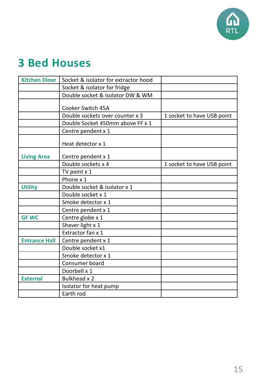

| <b>Kitchen Diner</b> | Socket & isolator for extractor hood |                            |
|----------------------|--------------------------------------|----------------------------|
|                      | Socket & isolator for fridge         |                            |
|                      | Double socket & isolator DW & WM     |                            |
|                      | Cooker Switch 45A                    |                            |
|                      | Double sockets over counter x 3      | 1 socket to have USB point |
|                      | Double Socket 450mm above FF x 1     |                            |
|                      | Centre pendent x 1                   |                            |
|                      | Heat detector x 1                    |                            |
| <b>Living Area</b>   | Centre pendent x 1                   |                            |
|                      | Double sockets x 4                   | 1 socket to have USB point |
|                      | TV point x 1                         |                            |
|                      | Phone x 1                            |                            |
| <b>Utility</b>       | Double socket & isolator x 1         |                            |
|                      | Double socket x 1                    |                            |
|                      | Smoke detector x 1                   |                            |
|                      | Centre pendent x 1                   |                            |
| <b>GF WC</b>         | Centre globe x 1                     |                            |
|                      | Shaver light x 1                     |                            |
|                      | Extractor fan x 1                    |                            |
| <b>Entrance Hall</b> | Centre pendent x 1                   |                            |
|                      | Double socket x1                     |                            |
|                      | Smoke detector x 1                   |                            |
|                      | Consumer board                       |                            |
|                      | Doorbell x 1                         |                            |
| <b>External</b>      | Bulkhead x 2                         |                            |
|                      | Isolator for heat pump               |                            |
|                      | Earth rod                            |                            |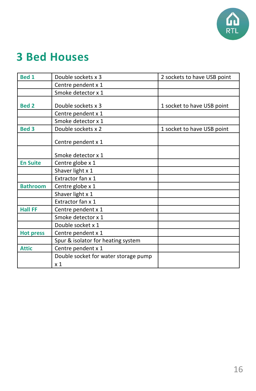

| <b>Bed 1</b>     | Double sockets x 3                                     | 2 sockets to have USB point |
|------------------|--------------------------------------------------------|-----------------------------|
|                  | Centre pendent x 1                                     |                             |
|                  | Smoke detector x 1                                     |                             |
|                  |                                                        |                             |
| <b>Bed 2</b>     | Double sockets x 3                                     | 1 socket to have USB point  |
|                  | Centre pendent x 1                                     |                             |
|                  | Smoke detector x 1                                     |                             |
| <b>Bed 3</b>     | Double sockets x 2                                     | 1 socket to have USB point  |
|                  | Centre pendent x 1                                     |                             |
|                  | Smoke detector x 1                                     |                             |
| <b>En Suite</b>  | Centre globe x 1                                       |                             |
|                  | Shaver light x 1                                       |                             |
|                  | Extractor fan x 1                                      |                             |
| <b>Bathroom</b>  | Centre globe x 1                                       |                             |
|                  | Shaver light x 1                                       |                             |
|                  | Extractor fan x 1                                      |                             |
| <b>Hall FF</b>   | Centre pendent x 1                                     |                             |
|                  | Smoke detector x 1                                     |                             |
|                  | Double socket x 1                                      |                             |
| <b>Hot press</b> | Centre pendent x 1                                     |                             |
|                  | Spur & isolator for heating system                     |                             |
| <b>Attic</b>     | Centre pendent x 1                                     |                             |
|                  | Double socket for water storage pump<br>x <sub>1</sub> |                             |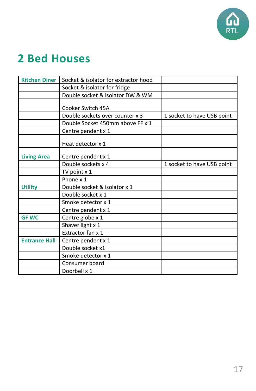

| <b>Kitchen Diner</b> | Socket & isolator for extractor hood |                            |
|----------------------|--------------------------------------|----------------------------|
|                      | Socket & isolator for fridge         |                            |
|                      | Double socket & isolator DW & WM     |                            |
|                      |                                      |                            |
|                      | Cooker Switch 45A                    |                            |
|                      | Double sockets over counter x 3      | 1 socket to have USB point |
|                      | Double Socket 450mm above FF x 1     |                            |
|                      | Centre pendent x 1                   |                            |
|                      | Heat detector x 1                    |                            |
| <b>Living Area</b>   | Centre pendent x 1                   |                            |
|                      | Double sockets x 4                   | 1 socket to have USB point |
|                      | TV point x 1                         |                            |
|                      | Phone x 1                            |                            |
| <b>Utility</b>       | Double socket & isolator x 1         |                            |
|                      | Double socket x 1                    |                            |
|                      | Smoke detector x 1                   |                            |
|                      | Centre pendent x 1                   |                            |
| <b>GF WC</b>         | Centre globe x 1                     |                            |
|                      | Shaver light x 1                     |                            |
|                      | Extractor fan x 1                    |                            |
| <b>Entrance Hall</b> | Centre pendent x 1                   |                            |
|                      | Double socket x1                     |                            |
|                      | Smoke detector x 1                   |                            |
|                      | Consumer board                       |                            |
|                      | Doorbell x 1                         |                            |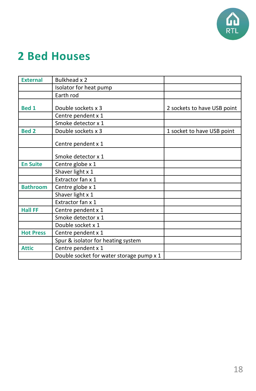

| <b>External</b>  | Bulkhead x 2                             |                             |
|------------------|------------------------------------------|-----------------------------|
|                  | Isolator for heat pump                   |                             |
|                  | Earth rod                                |                             |
|                  |                                          |                             |
| <b>Bed 1</b>     | Double sockets x 3                       | 2 sockets to have USB point |
|                  | Centre pendent x 1                       |                             |
|                  | Smoke detector x 1                       |                             |
| <b>Bed 2</b>     | Double sockets x 3                       | 1 socket to have USB point  |
|                  | Centre pendent x 1                       |                             |
|                  | Smoke detector x 1                       |                             |
| <b>En Suite</b>  | Centre globe x 1                         |                             |
|                  | Shaver light x 1                         |                             |
|                  | Extractor fan x 1                        |                             |
| <b>Bathroom</b>  | Centre globe x 1                         |                             |
|                  | Shaver light x 1                         |                             |
|                  | Extractor fan x 1                        |                             |
| <b>Hall FF</b>   | Centre pendent x 1                       |                             |
|                  | Smoke detector x 1                       |                             |
|                  | Double socket x 1                        |                             |
| <b>Hot Press</b> | Centre pendent x 1                       |                             |
|                  | Spur & isolator for heating system       |                             |
| <b>Attic</b>     | Centre pendent x 1                       |                             |
|                  | Double socket for water storage pump x 1 |                             |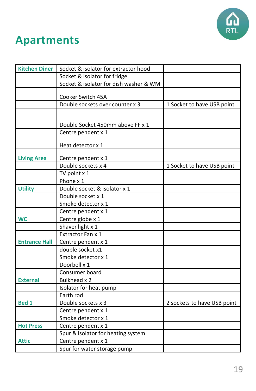

### **Apartments**

| <b>Kitchen Diner</b> | Socket & isolator for extractor hood   |                             |
|----------------------|----------------------------------------|-----------------------------|
|                      | Socket & isolator for fridge           |                             |
|                      | Socket & isolator for dish washer & WM |                             |
|                      |                                        |                             |
|                      | Cooker Switch 45A                      |                             |
|                      | Double sockets over counter x 3        | 1 Socket to have USB point  |
|                      |                                        |                             |
|                      | Double Socket 450mm above FF x 1       |                             |
|                      | Centre pendent x 1                     |                             |
|                      |                                        |                             |
|                      | Heat detector x 1                      |                             |
| <b>Living Area</b>   | Centre pendent x 1                     |                             |
|                      | Double sockets x 4                     | 1 Socket to have USB point  |
|                      | TV point $x$ 1                         |                             |
|                      | Phone x 1                              |                             |
| <b>Utility</b>       | Double socket & isolator x 1           |                             |
|                      | Double socket x 1                      |                             |
|                      | Smoke detector x 1                     |                             |
|                      | Centre pendent x 1                     |                             |
| <b>WC</b>            | Centre globe x 1                       |                             |
|                      | Shaver light x 1                       |                             |
|                      | Extractor Fan x 1                      |                             |
| <b>Entrance Hall</b> | Centre pendent x 1                     |                             |
|                      | double socket x1                       |                             |
|                      | Smoke detector x 1                     |                             |
|                      | Doorbell x 1                           |                             |
|                      | Consumer board                         |                             |
| <b>External</b>      | Bulkhead x 2                           |                             |
|                      | Isolator for heat pump                 |                             |
|                      | Earth rod                              |                             |
| <b>Bed 1</b>         | Double sockets x 3                     | 2 sockets to have USB point |
|                      | Centre pendent x 1                     |                             |
|                      | Smoke detector x 1                     |                             |
| <b>Hot Press</b>     | Centre pendent x 1                     |                             |
|                      | Spur & isolator for heating system     |                             |
| <b>Attic</b>         | Centre pendent x 1                     |                             |
|                      | Spur for water storage pump            |                             |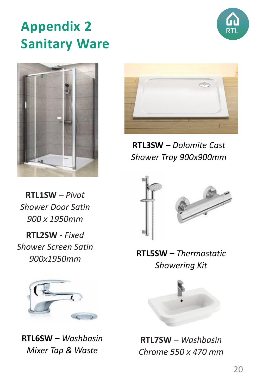### **Appendix 2 Sanitary Ware**





**RTL1SW** *– Pivot Shower Door Satin 900 x 1950mm*

**RTL2SW** - *Fixed Shower Screen Satin 900x1950mm*



**RTL6SW** – *Washbasin Mixer Tap & Waste*



**RTL3SW** – *Dolomite Cast Shower Tray 900x900mm*



#### **RTL5SW** – *Thermostatic Showering Kit*



**RTL7SW** – *Washbasin Chrome 550 x 470 mm*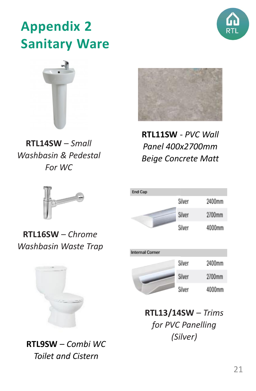

### **Appendix 2 Sanitary Ware**



**RTL14SW** – *Small Washbasin & Pedestal For WC*



**RTL11SW** - *PVC Wall Panel 400x2700mm Beige Concrete Matt*



**RTL16SW** – *Chrome Washbasin Waste Trap*



**RTL9SW** – *Combi WC Toilet and Cistern*





**RTL13/14SW** – *Trims for PVC Panelling (Silver)*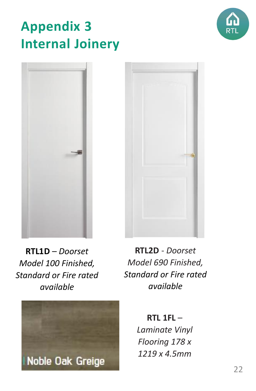### **Appendix 3 Internal Joinery**







**RTL1D** – *Doorset Model 100 Finished, Standard or Fire rated available*



**RTL2D** - *Doorset Model 690 Finished, Standard or Fire rated available*

**RTL 1FL** – *Laminate Vinyl Flooring 178 x 1219 x 4.5mm*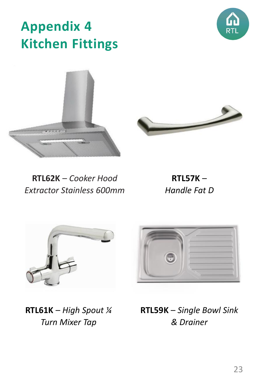### **Appendix 4 Kitchen Fittings**

**RTL62K** – *Cooker Hood Extractor Stainless 600mm*

**RTL57K** – *Handle Fat D*

**RTL61K** – *High Spout ¼ Turn Mixer Tap*









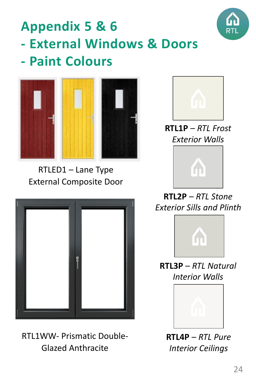

### **Appendix 5 & 6 - External Windows & Doors - Paint Colours**



RTLED1 – Lane Type External Composite Door



RTL1WW- Prismatic Double-Glazed Anthracite



**RTL1P** – *RTL Frost Exterior Walls*



**RTL2P** – *RTL Stone Exterior Sills and Plinth*



**RTL3P** – *RTL Natural Interior Walls*



**RTL4P** – *RTL Pure Interior Ceilings*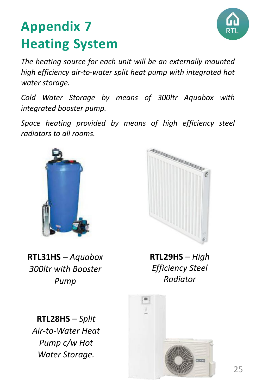

### **Appendix 7 Heating System**

*The heating source for each unit will be an externally mounted high efficiency air-to-water split heat pump with integrated hot water storage.*

*Cold Water Storage by means of 300ltr Aquabox with integrated booster pump.*

*Space heating provided by means of high efficiency steel radiators to all rooms.*





**RTL31HS** – *Aquabox 300ltr with Booster Pump*

**RTL28HS** – *Split Air-to-Water Heat Pump c/w Hot Water Storage.*

**RTL29HS** – *High Efficiency Steel Radiator*